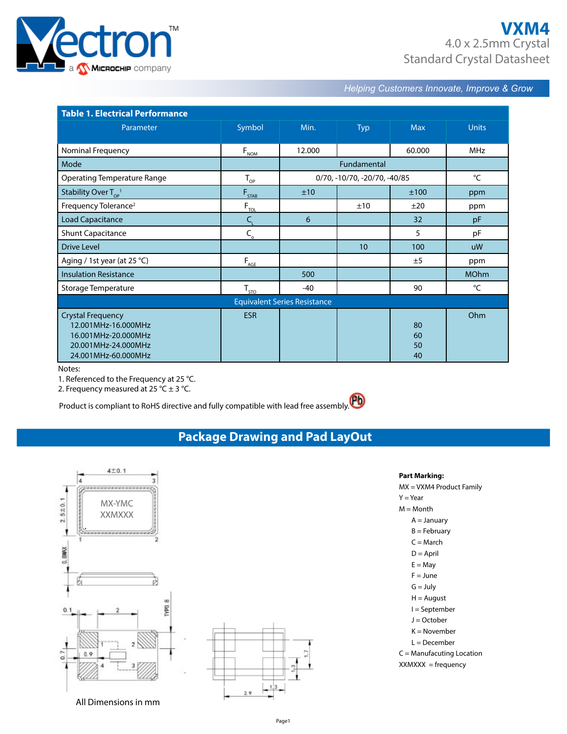

*Helping Customers Innovate, Improve & Grow* 

| <b>Table 1. Electrical Performance</b>                                                                               |                                                 |                                     |            |                      |              |  |  |
|----------------------------------------------------------------------------------------------------------------------|-------------------------------------------------|-------------------------------------|------------|----------------------|--------------|--|--|
| Parameter                                                                                                            | Symbol                                          | Min.                                | <b>Typ</b> | <b>Max</b>           | <b>Units</b> |  |  |
| Nominal Frequency                                                                                                    | $F_{NOM}$                                       | 12.000                              |            | 60.000               | <b>MHz</b>   |  |  |
| Mode                                                                                                                 |                                                 |                                     |            |                      |              |  |  |
| <b>Operating Temperature Range</b>                                                                                   | $T_{\rm OP}$                                    | 0/70, -10/70, -20/70, -40/85        | °C         |                      |              |  |  |
| Stability Over $T_{\alpha}^{\ 1}$                                                                                    | $F_{STAB}$                                      | ±10                                 |            | ±100                 | ppm          |  |  |
| Frequency Tolerance <sup>2</sup>                                                                                     | $F_{\underline{\tau \underline{\omega}}}$       |                                     | ±10        | ±20                  | ppm          |  |  |
| <b>Load Capacitance</b>                                                                                              | $\mathsf{C}_{\!\scriptscriptstyle(\mathsf{I})}$ | 6                                   |            | 32                   | pF           |  |  |
| <b>Shunt Capacitance</b>                                                                                             | $C_{\rm o}$                                     |                                     |            | 5                    | pF           |  |  |
| <b>Drive Level</b>                                                                                                   |                                                 |                                     | 10         | 100                  | <b>uW</b>    |  |  |
| Aging / 1st year (at 25 $°C$ )                                                                                       | $F_{\underline{AGE}}$                           |                                     |            | ±5                   | ppm          |  |  |
| <b>Insulation Resistance</b>                                                                                         |                                                 | 500                                 |            |                      | <b>MOhm</b>  |  |  |
| Storage Temperature                                                                                                  | $T_{STO}$                                       | -40                                 |            | 90                   | °C           |  |  |
|                                                                                                                      |                                                 | <b>Equivalent Series Resistance</b> |            |                      |              |  |  |
| <b>Crystal Frequency</b><br>12.001MHz-16.000MHz<br>16.001MHz-20.000MHz<br>20.001MHz-24.000MHz<br>24.001MHz-60.000MHz | <b>ESR</b>                                      |                                     |            | 80<br>60<br>50<br>40 | Ohm          |  |  |

Notes:

Notes:<br>1. Referenced to the Frequency at 25 °C.

2. Frequency measured at 25 °C  $\pm$  3 °C.

Product is compliant to RoHS directive and fully compatible with lead free assembly.

**Package Drawing and Pad LayOut** 



| Part Marking:               |
|-----------------------------|
| MX = VXM4 Product Family    |
| $Y = Year$                  |
| $M = M$ onth                |
| $A = January$               |
| B = February                |
| $C =$ March                 |
| $D =$ April                 |
| $E = May$                   |
| $F = June$                  |
| $G = July$                  |
| H = August                  |
| l = September               |
| $I =$ October               |
| K = November                |
| L = December                |
| $C =$ Manufacuting Location |
| $XXX = frequency$           |
|                             |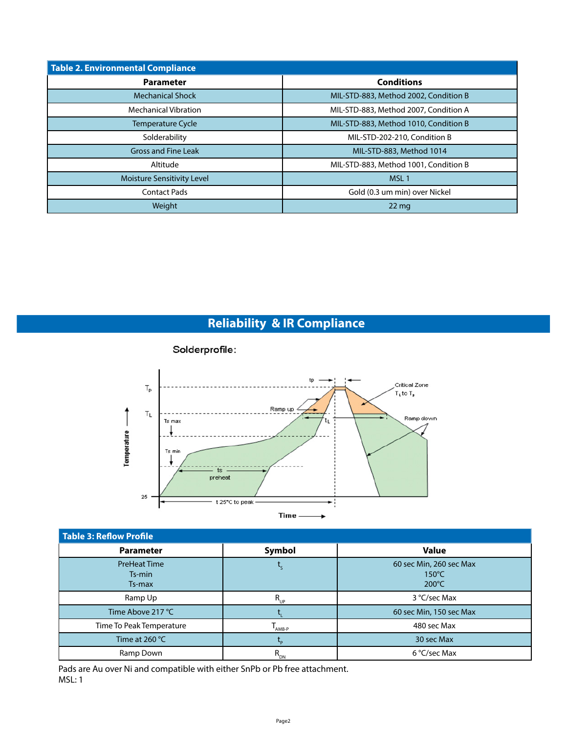| Table 2. Environmental Compliance |                                       |  |  |  |  |  |
|-----------------------------------|---------------------------------------|--|--|--|--|--|
| <b>Parameter</b>                  | <b>Conditions</b>                     |  |  |  |  |  |
| <b>Mechanical Shock</b>           | MIL-STD-883, Method 2002, Condition B |  |  |  |  |  |
| <b>Mechanical Vibration</b>       | MIL-STD-883, Method 2007, Condition A |  |  |  |  |  |
| <b>Temperature Cycle</b>          | MIL-STD-883, Method 1010, Condition B |  |  |  |  |  |
| Solderability                     | MIL-STD-202-210, Condition B          |  |  |  |  |  |
| <b>Gross and Fine Leak</b>        | MIL-STD-883, Method 1014              |  |  |  |  |  |
| Altitude                          | MIL-STD-883, Method 1001, Condition B |  |  |  |  |  |
| Moisture Sensitivity Level        | MSL <sub>1</sub>                      |  |  |  |  |  |
| <b>Contact Pads</b>               | Gold (0.3 um min) over Nickel         |  |  |  |  |  |
| Weight                            | $22 \,\mathrm{mg}$                    |  |  |  |  |  |

# **Reliability & IR Compliance**



| <b>Table 3: Reflow Profile</b>          |             |                                                               |  |  |  |  |  |  |  |
|-----------------------------------------|-------------|---------------------------------------------------------------|--|--|--|--|--|--|--|
| <b>Parameter</b>                        | Symbol      | <b>Value</b>                                                  |  |  |  |  |  |  |  |
| <b>PreHeat Time</b><br>Ts-min<br>Ts-max |             | 60 sec Min, 260 sec Max<br>$150^{\circ}$ C<br>$200^{\circ}$ C |  |  |  |  |  |  |  |
| Ramp Up                                 | $R_{UP}$    | 3 °C/sec Max                                                  |  |  |  |  |  |  |  |
| Time Above 217 °C                       |             | 60 sec Min, 150 sec Max                                       |  |  |  |  |  |  |  |
| Time To Peak Temperature                | AMB-P       | 480 sec Max                                                   |  |  |  |  |  |  |  |
| Time at $260 °C$                        |             | 30 sec Max                                                    |  |  |  |  |  |  |  |
| Ramp Down                               | $R_{_{DN}}$ | 6 °C/sec Max                                                  |  |  |  |  |  |  |  |

Pads are Au over Ni and compatible with either SnPb or Pb free attachment. MSL: 1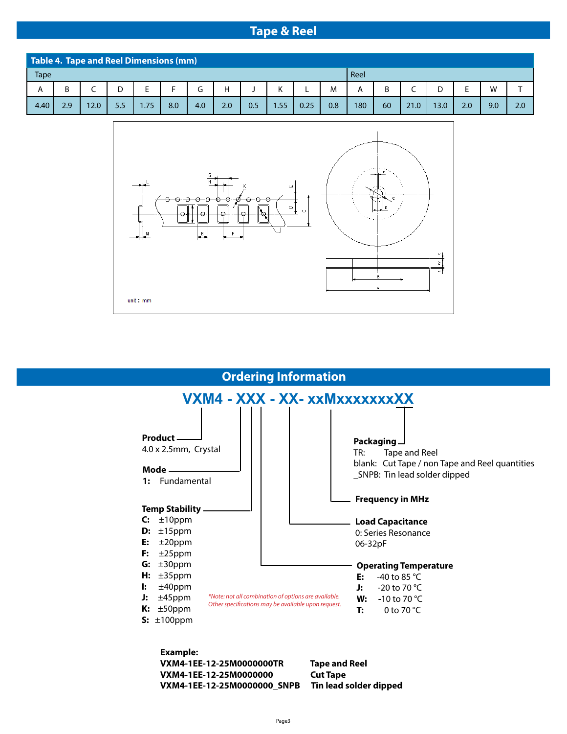## **Tape & Reel**

| Table 4. Tape and Reel Dimensions (mm) |     |      |     |     |     |     |     |     |        |      |     |      |    |      |      |     |     |     |
|----------------------------------------|-----|------|-----|-----|-----|-----|-----|-----|--------|------|-----|------|----|------|------|-----|-----|-----|
| <b>Tape</b>                            |     |      |     |     |     |     |     |     |        |      |     | Reel |    |      |      |     |     |     |
| A                                      |     |      |     |     |     |     | Н   |     | v<br>N |      | M   | A    |    |      |      |     | W   |     |
| 4.40                                   | 2.9 | 12.0 | 5.5 | .75 | 8.0 | 4.0 | 2.0 | 0.5 | 1.55   | 0.25 | 0.8 | 180  | 60 | 21.0 | 13.0 | 2.0 | 9.0 | 2.0 |





**VXM4-1EE-12-25M0000000\_SNPB Tin lead solder dipped**